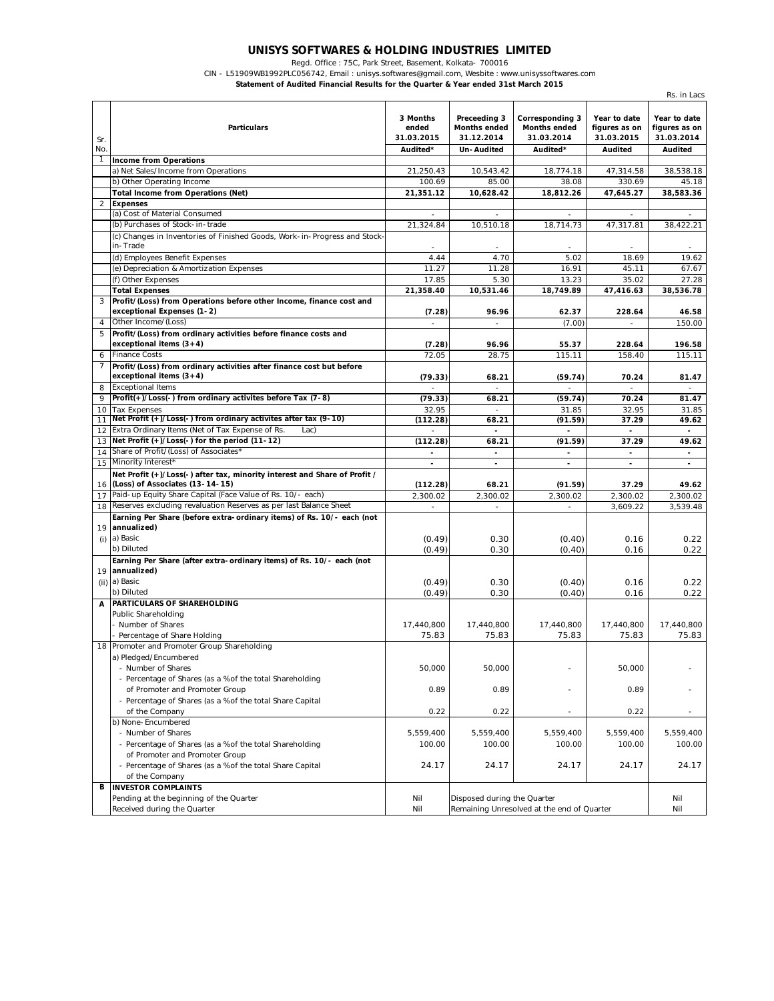## **UNISYS SOFTWARES & HOLDING INDUSTRIES LIMITED**

Regd. Office : 75C, Park Street, Basement, Kolkata- 700016

CIN - L51909WB1992PLC056742, Email : unisys.softwares@gmail.com, Wesbite : www.unisyssoftwares.com

**Statement of Audited Financial Results for the Quarter & Year ended 31st March 2015**

|                | השעווכע ו וועווטועו ולכאשונט וטו נווכ שעעווכו ער וכעו כוועכע טופג ואוערטו<br>Rs. in Lacs                     |                                             |                                                                        |                                                                  |                                                        |                                                        |
|----------------|--------------------------------------------------------------------------------------------------------------|---------------------------------------------|------------------------------------------------------------------------|------------------------------------------------------------------|--------------------------------------------------------|--------------------------------------------------------|
| Sr.<br>No.     | <b>Particulars</b>                                                                                           | 3 Months<br>ended<br>31.03.2015<br>Audited* | Preceeding 3<br><b>Months ended</b><br>31.12.2014<br><b>Un-Audited</b> | Corresponding 3<br><b>Months ended</b><br>31.03.2014<br>Audited* | Year to date<br>figures as on<br>31.03.2015<br>Audited | Year to date<br>figures as on<br>31.03.2014<br>Audited |
| 1              | <b>Income from Operations</b>                                                                                |                                             |                                                                        |                                                                  |                                                        |                                                        |
|                | a) Net Sales/Income from Operations                                                                          | 21,250.43                                   | 10,543.42                                                              | 18,774.18                                                        | 47,314.58                                              | 38,538.18                                              |
|                | b) Other Operating Income                                                                                    | 100.69                                      | 85.00                                                                  | 38.08                                                            | 330.69                                                 | 45.18                                                  |
|                | <b>Total Income from Operations (Net)</b>                                                                    | 21,351.12                                   | 10,628.42                                                              | 18,812.26                                                        | 47,645.27                                              | 38,583.36                                              |
| $\overline{2}$ | <b>Expenses</b>                                                                                              |                                             |                                                                        |                                                                  |                                                        |                                                        |
|                | (a) Cost of Material Consumed                                                                                |                                             |                                                                        | L,                                                               |                                                        |                                                        |
|                | (b) Purchases of Stock-in-trade                                                                              | 21,324.84                                   | 10,510.18                                                              | 18.714.73                                                        | 47,317.81                                              | 38,422.21                                              |
|                | (c) Changes in Inventories of Finished Goods, Work-in-Progress and Stock-<br>in-Trade                        |                                             |                                                                        |                                                                  |                                                        |                                                        |
|                | (d) Employees Benefit Expenses                                                                               | 4.44                                        | 4.70                                                                   | 5.02                                                             | 18.69                                                  | 19.62                                                  |
|                | (e) Depreciation & Amortization Expenses                                                                     | 11.27                                       | 11.28                                                                  | 16.91                                                            | 45.11                                                  | 67.67                                                  |
|                | (f) Other Expenses                                                                                           | 17.85                                       | 5.30                                                                   | 13.23                                                            | 35.02                                                  | 27.28                                                  |
|                | <b>Total Expenses</b>                                                                                        | 21,358.40                                   | 10,531.46                                                              | 18,749.89                                                        | 47,416.63                                              | 38,536.78                                              |
| 3              | Profit/(Loss) from Operations before other Income, finance cost and<br>exceptional Expenses (1-2)            | (7.28)                                      | 96.96                                                                  | 62.37                                                            | 228.64                                                 | 46.58                                                  |
| $\overline{4}$ | Other Income/(Loss)                                                                                          | ÷                                           | ÷.                                                                     | (7.00)                                                           |                                                        | 150.00                                                 |
| 5              | Profit/(Loss) from ordinary activities before finance costs and<br>exceptional items $(3+4)$                 | (7.28)                                      | 96.96                                                                  | 55.37                                                            | 228.64                                                 | 196.58                                                 |
| 6              | <b>Finance Costs</b>                                                                                         | 72.05                                       | 28.75                                                                  | 115.11                                                           | 158.40                                                 | 115.11                                                 |
| 7              | Profit/(Loss) from ordinary activities after finance cost but before<br>exceptional items $(3+4)$            | (79.33)                                     | 68.21                                                                  | (59.74)                                                          | 70.24                                                  | 81.47                                                  |
| 8              | <b>Exceptional Items</b>                                                                                     |                                             |                                                                        |                                                                  |                                                        |                                                        |
| 9              | Profit(+)/Loss(-) from ordinary activites before Tax (7-8)                                                   | (79.33)                                     | 68.21                                                                  | (59.74)                                                          | 70.24                                                  | 81.47                                                  |
| 10             | <b>Tax Expenses</b>                                                                                          | 32.95                                       | $\sim$                                                                 | 31.85                                                            | 32.95                                                  | 31.85                                                  |
| 11             | Net Profit (+)/Loss(-) from ordinary activites after tax (9-10)                                              | (112.28)                                    | 68.21                                                                  | (91.59)                                                          | 37.29                                                  | 49.62                                                  |
| 12             | Extra Ordinary Items (Net of Tax Expense of Rs.<br>Lac                                                       | ×.                                          | $\mathbf{r}$                                                           |                                                                  | $\sim$                                                 | $\sim$                                                 |
| 13<br>14       | Net Profit (+)/Loss(-) for the period (11-12)<br>Share of Profit/(Loss) of Associates*                       | (112.28)                                    | 68.21                                                                  | (91.59)                                                          | 37.29                                                  | 49.62                                                  |
| 15             | Minority Interest*                                                                                           | $\blacksquare$                              | $\blacksquare$                                                         | $\blacksquare$                                                   | ÷.                                                     | $\blacksquare$                                         |
| 16             | Net Profit (+)/Loss(-) after tax, minority interest and Share of Profit /<br>(Loss) of Associates (13-14-15) | (112.28)                                    | 68.21                                                                  | (91.59)                                                          | 37.29                                                  | 49.62                                                  |
| 17             | Paid-up Equity Share Capital (Face Value of Rs. 10/- each)                                                   | 2,300.02                                    | 2,300.02                                                               | 2,300.02                                                         | 2,300.02                                               | 2,300.02                                               |
| 18             | Reserves excluding revaluation Reserves as per last Balance Sheet                                            | $\sim$                                      | $\sim$                                                                 | $\sim$                                                           | 3,609.22                                               | 3,539.48                                               |
|                | Earning Per Share (before extra-ordinary items) of Rs. 10/- each (not<br>19 annualized)                      |                                             |                                                                        |                                                                  |                                                        |                                                        |
| (i)            | a) Basic                                                                                                     | (0.49)                                      | 0.30                                                                   | (0.40)                                                           | 0.16                                                   | 0.22                                                   |
|                | b) Diluted                                                                                                   | (0.49)                                      | 0.30                                                                   | (0.40)                                                           | 0.16                                                   | 0.22                                                   |
| 19             | Earning Per Share (after extra-ordinary items) of Rs. 10/- each (not<br>annualized)                          |                                             |                                                                        |                                                                  |                                                        |                                                        |
| (ii)           | a) Basic                                                                                                     | (0.49)                                      | 0.30                                                                   | (0.40)                                                           | 0.16                                                   | 0.22                                                   |
|                | b) Diluted                                                                                                   | (0.49)                                      | 0.30                                                                   | (0.40)                                                           | 0.16                                                   | 0.22                                                   |
| А              | PARTICULARS OF SHAREHOLDING                                                                                  |                                             |                                                                        |                                                                  |                                                        |                                                        |
|                | Public Shareholding                                                                                          |                                             |                                                                        |                                                                  |                                                        |                                                        |
|                | - Number of Shares                                                                                           | 17,440,800                                  | 17,440,800                                                             | 17,440,800                                                       | 17,440,800                                             | 17,440,800                                             |
|                | - Percentage of Share Holding                                                                                | 75.83                                       | 75.83                                                                  | 75.83                                                            | 75.83                                                  | 75.83                                                  |
| 18             | Promoter and Promoter Group Shareholding                                                                     |                                             |                                                                        |                                                                  |                                                        |                                                        |
|                | a) Pledged/Encumbered<br>- Number of Shares                                                                  | 50,000                                      | 50,000                                                                 | ä,                                                               | 50,000                                                 |                                                        |
|                | - Percentage of Shares (as a % of the total Shareholding<br>of Promoter and Promoter Group                   | 0.89                                        | 0.89                                                                   | ÷,                                                               | 0.89                                                   |                                                        |
|                |                                                                                                              |                                             |                                                                        |                                                                  |                                                        |                                                        |
|                | - Percentage of Shares (as a % of the total Share Capital<br>of the Company                                  | 0.22                                        | 0.22                                                                   | $\overline{\phantom{a}}$                                         | 0.22                                                   | $\overline{\phantom{a}}$                               |
|                | b) None-Encumbered                                                                                           |                                             |                                                                        |                                                                  |                                                        |                                                        |
|                | - Number of Shares                                                                                           | 5,559,400                                   | 5,559,400                                                              | 5,559,400                                                        | 5,559,400                                              | 5,559,400                                              |
|                | - Percentage of Shares (as a % of the total Shareholding                                                     | 100.00                                      | 100.00                                                                 | 100.00                                                           | 100.00                                                 | 100.00                                                 |
|                | of Promoter and Promoter Group                                                                               |                                             |                                                                        |                                                                  |                                                        |                                                        |
|                | - Percentage of Shares (as a % of the total Share Capital                                                    | 24.17                                       | 24.17                                                                  | 24.17                                                            | 24.17                                                  | 24.17                                                  |
|                | of the Company                                                                                               |                                             |                                                                        |                                                                  |                                                        |                                                        |
| В              | <b>INVESTOR COMPLAINTS</b>                                                                                   |                                             |                                                                        |                                                                  |                                                        |                                                        |
|                | Pending at the beginning of the Quarter                                                                      | Nil                                         | Disposed during the Quarter                                            |                                                                  |                                                        | Nil                                                    |
|                | Received during the Quarter                                                                                  | Nil                                         |                                                                        | Remaining Unresolved at the end of Quarter                       |                                                        | Nil                                                    |
|                |                                                                                                              |                                             |                                                                        |                                                                  |                                                        |                                                        |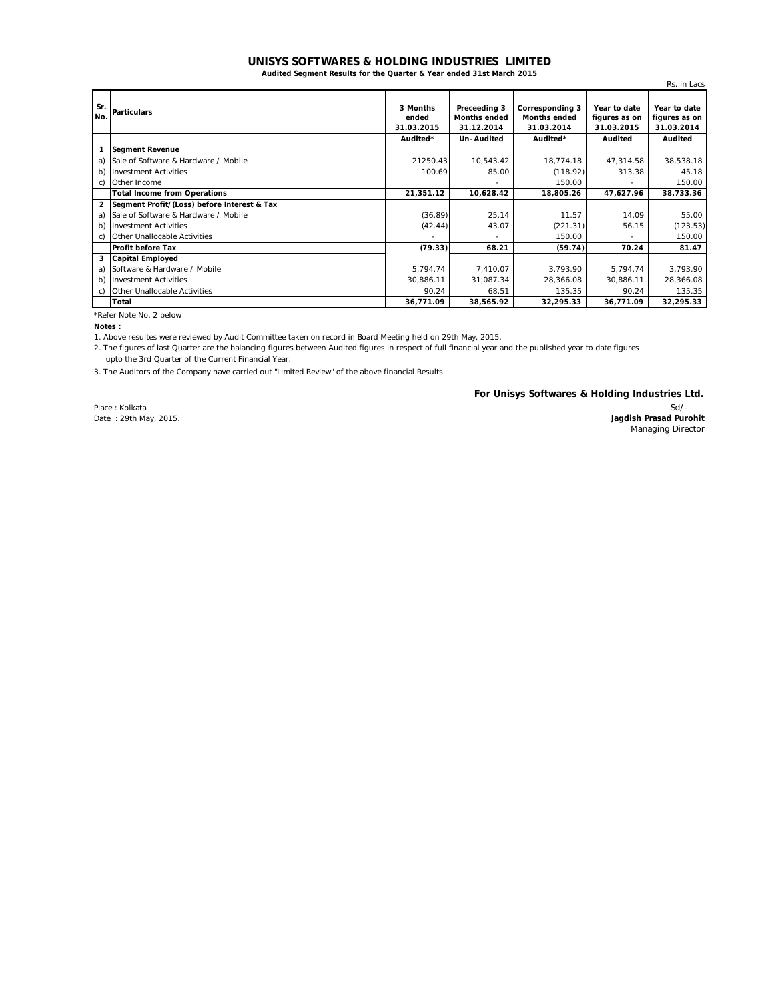## **UNISYS SOFTWARES & HOLDING INDUSTRIES LIMITED**

**Audited Segment Results for the Quarter & Year ended 31st March 2015**

|                |                                             |                                 |                                                   |                                                      |                                             | Rs. in Lacs                                 |
|----------------|---------------------------------------------|---------------------------------|---------------------------------------------------|------------------------------------------------------|---------------------------------------------|---------------------------------------------|
| Sr.<br>No.     | <b>Particulars</b>                          | 3 Months<br>ended<br>31.03.2015 | Preceeding 3<br><b>Months ended</b><br>31.12.2014 | Corresponding 3<br><b>Months ended</b><br>31.03.2014 | Year to date<br>figures as on<br>31.03.2015 | Year to date<br>figures as on<br>31.03.2014 |
|                |                                             | Audited*                        | Un-Audited                                        | Audited*                                             | Audited                                     | Audited                                     |
| 1              | <b>Segment Revenue</b>                      |                                 |                                                   |                                                      |                                             |                                             |
| a)             | Sale of Software & Hardware / Mobile        | 21250.43                        | 10,543.42                                         | 18,774.18                                            | 47,314.58                                   | 38,538.18                                   |
| b)             | <b>Investment Activities</b>                | 100.69                          | 85.00                                             | (118.92)                                             | 313.38                                      | 45.18                                       |
| C)             | Other Income                                |                                 |                                                   | 150.00                                               |                                             | 150.00                                      |
|                | <b>Total Income from Operations</b>         | 21,351.12                       | 10,628.42                                         | 18,805.26                                            | 47,627.96                                   | 38,733.36                                   |
| $\overline{2}$ | Segment Profit/(Loss) before Interest & Tax |                                 |                                                   |                                                      |                                             |                                             |
| a)             | Sale of Software & Hardware / Mobile        | (36.89)                         | 25.14                                             | 11.57                                                | 14.09                                       | 55.00                                       |
| b)             | <b>Investment Activities</b>                | (42.44)                         | 43.07                                             | (221.31)                                             | 56.15                                       | (123.53)                                    |
| C)             | Other Unallocable Activities                |                                 |                                                   | 150.00                                               |                                             | 150.00                                      |
|                | <b>Profit before Tax</b>                    | (79.33)                         | 68.21                                             | (59.74)                                              | 70.24                                       | 81.47                                       |
| 3              | <b>Capital Employed</b>                     |                                 |                                                   |                                                      |                                             |                                             |
| a)             | Software & Hardware / Mobile                | 5,794.74                        | 7,410.07                                          | 3,793.90                                             | 5,794.74                                    | 3,793.90                                    |
| b)             | <b>Investment Activities</b>                | 30,886.11                       | 31,087.34                                         | 28,366.08                                            | 30,886.11                                   | 28,366.08                                   |
| C)             | Other Unallocable Activities                | 90.24                           | 68.51                                             | 135.35                                               | 90.24                                       | 135.35                                      |
|                | Total                                       | 36,771.09                       | 38,565.92                                         | 32,295.33                                            | 36,771.09                                   | 32,295.33                                   |

\*Refer Note No. 2 below

**Notes :**

1. Above resultes were reviewed by Audit Committee taken on record in Board Meeting held on 29th May, 2015.

2. The figures of last Quarter are the balancing figures between Audited figures in respect of full financial year and the published year to date figures

upto the 3rd Quarter of the Current Financial Year.

3. The Auditors of the Company have carried out "Limited Review" of the above financial Results.

**For Unisys Softwares & Holding Industries Ltd.**

Place : Kolkata Date : 29th May, 2015.

Sd/- **Jagdish Prasad Purohit** Managing Director